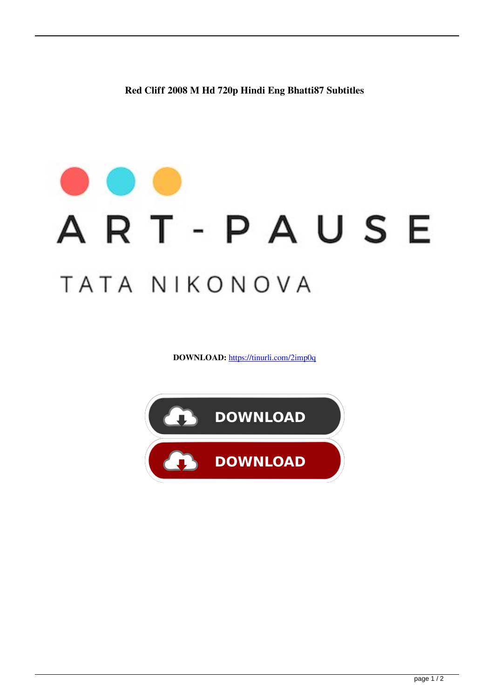**Red Cliff 2008 M Hd 720p Hindi Eng Bhatti87 Subtitles**

## ART-PAUSE TATA NIKONOVA

**DOWNLOAD:** <https://tinurli.com/2imp0q>